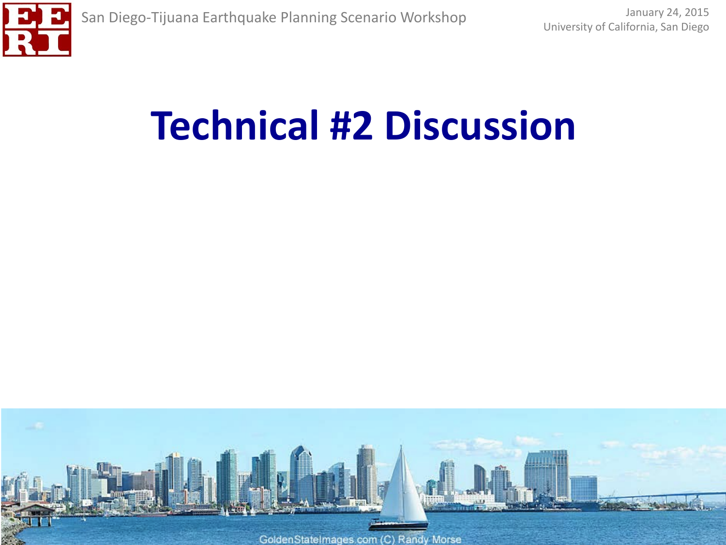

# **Technical #2 Discussion**

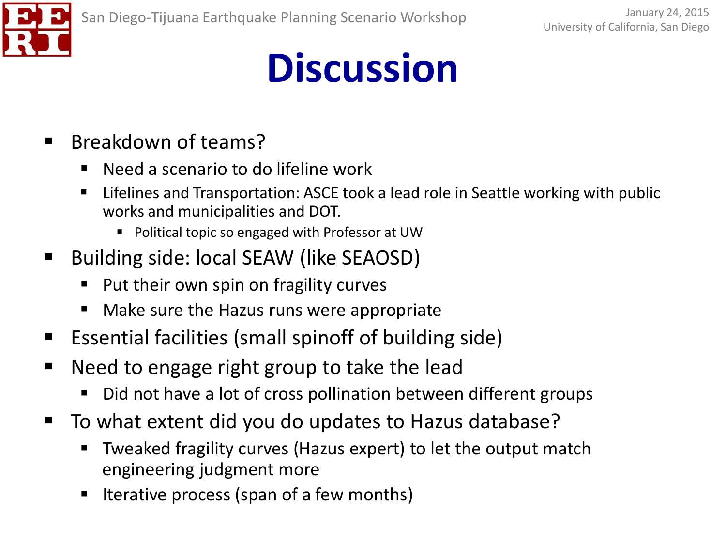

- Breakdown of teams?
	- Need a scenario to do lifeline work
	- Lifelines and Transportation: ASCE took a lead role in Seattle working with public works and municipalities and DOT.
		- **Political topic so engaged with Professor at UW**
- Building side: local SEAW (like SEAOSD)
	- Put their own spin on fragility curves
	- Make sure the Hazus runs were appropriate
- Essential facilities (small spinoff of building side)
- Need to engage right group to take the lead
	- Did not have a lot of cross pollination between different groups
- To what extent did you do updates to Hazus database?
	- Tweaked fragility curves (Hazus expert) to let the output match engineering judgment more
	- **If Iterative process (span of a few months)**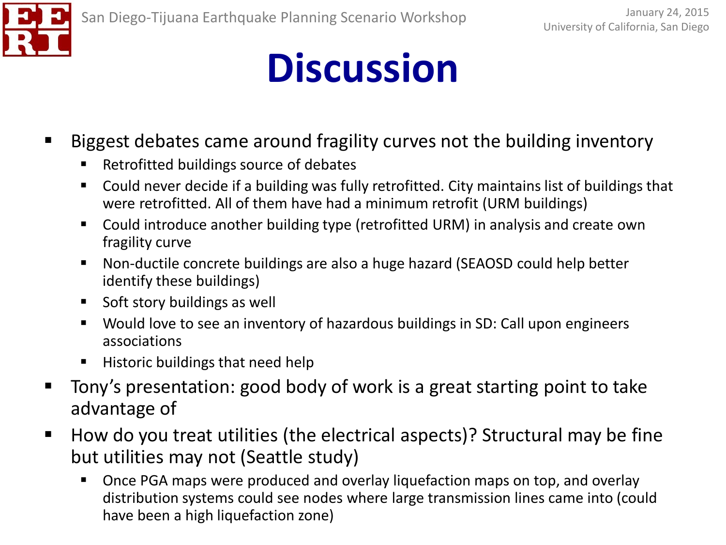

- Biggest debates came around fragility curves not the building inventory
	- Retrofitted buildings source of debates
	- Could never decide if a building was fully retrofitted. City maintains list of buildings that were retrofitted. All of them have had a minimum retrofit (URM buildings)
	- Could introduce another building type (retrofitted URM) in analysis and create own fragility curve
	- Non-ductile concrete buildings are also a huge hazard (SEAOSD could help better identify these buildings)
	- **Soft story buildings as well**
	- Would love to see an inventory of hazardous buildings in SD: Call upon engineers associations
	- $\blacksquare$  Historic buildings that need help
- Tony's presentation: good body of work is a great starting point to take advantage of
- How do you treat utilities (the electrical aspects)? Structural may be fine but utilities may not (Seattle study)
	- **De Drama** Dramar once PGA maps were produced and overlay liquefaction maps on top, and overlay distribution systems could see nodes where large transmission lines came into (could have been a high liquefaction zone)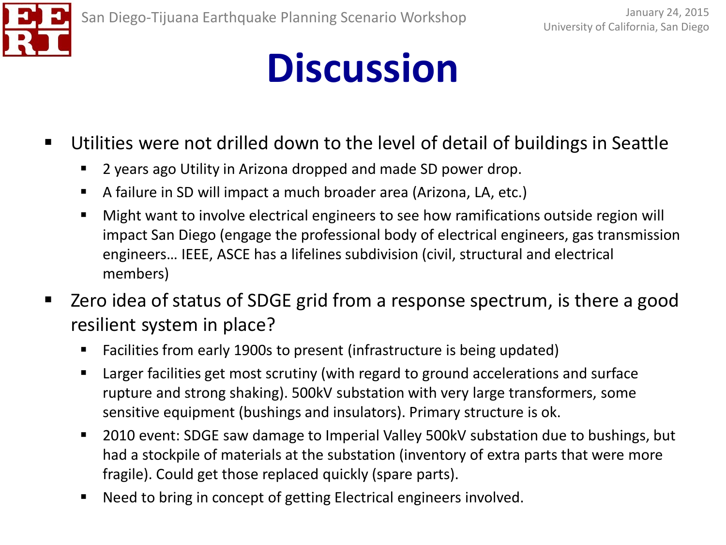

- Utilities were not drilled down to the level of detail of buildings in Seattle
	- **2** years ago Utility in Arizona dropped and made SD power drop.
	- A failure in SD will impact a much broader area (Arizona, LA, etc.)
	- Might want to involve electrical engineers to see how ramifications outside region will impact San Diego (engage the professional body of electrical engineers, gas transmission engineers… IEEE, ASCE has a lifelines subdivision (civil, structural and electrical members)
- Zero idea of status of SDGE grid from a response spectrum, is there a good resilient system in place?
	- Facilities from early 1900s to present (infrastructure is being updated)
	- Larger facilities get most scrutiny (with regard to ground accelerations and surface rupture and strong shaking). 500kV substation with very large transformers, some sensitive equipment (bushings and insulators). Primary structure is ok.
	- 2010 event: SDGE saw damage to Imperial Valley 500kV substation due to bushings, but had a stockpile of materials at the substation (inventory of extra parts that were more fragile). Could get those replaced quickly (spare parts).
	- Need to bring in concept of getting Electrical engineers involved.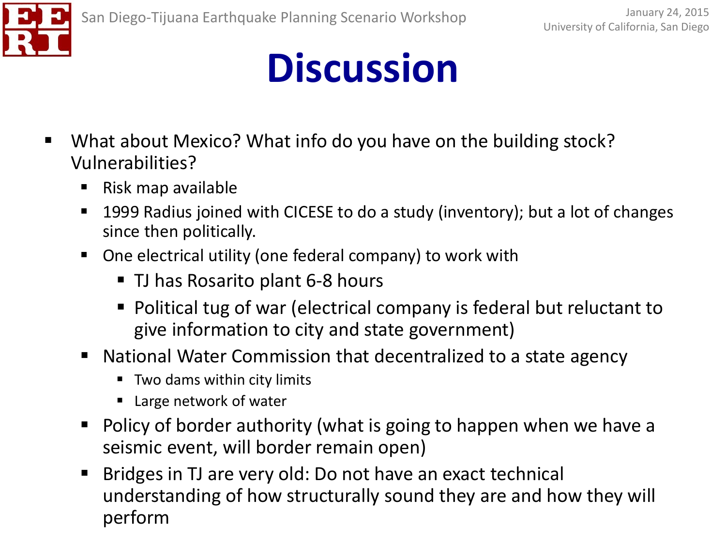

- What about Mexico? What info do you have on the building stock? Vulnerabilities?
	- $\blacksquare$  Risk map available
	- 1999 Radius joined with CICESE to do a study (inventory); but a lot of changes since then politically.
	- One electrical utility (one federal company) to work with
		- TJ has Rosarito plant 6-8 hours
		- Political tug of war (electrical company is federal but reluctant to give information to city and state government)
	- National Water Commission that decentralized to a state agency
		- Two dams within city limits
		- Large network of water
	- **Policy of border authority (what is going to happen when we have a** seismic event, will border remain open)
	- Bridges in TJ are very old: Do not have an exact technical understanding of how structurally sound they are and how they will perform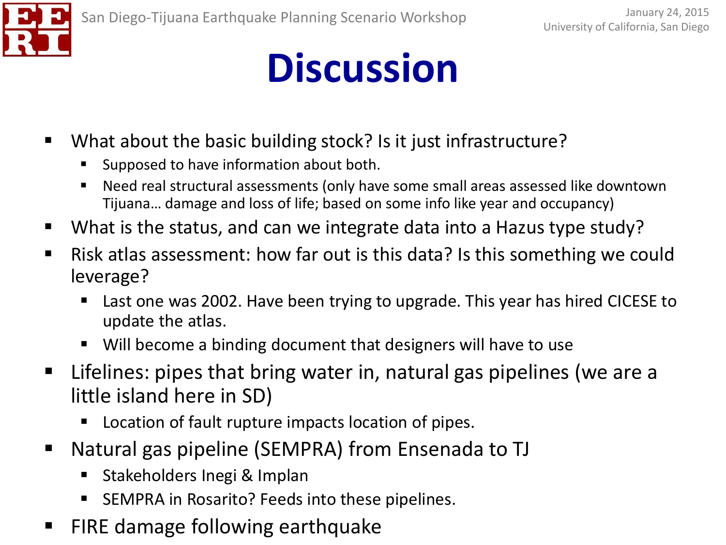- What about the basic building stock? Is it just infrastructure?
	- Supposed to have information about both.
	- Need real structural assessments (only have some small areas assessed like downtown Tijuana… damage and loss of life; based on some info like year and occupancy)
- What is the status, and can we integrate data into a Hazus type study?
- Risk atlas assessment: how far out is this data? Is this something we could leverage?
	- Last one was 2002. Have been trying to upgrade. This year has hired CICESE to update the atlas.
	- Will become a binding document that designers will have to use
- Lifelines: pipes that bring water in, natural gas pipelines (we are a little island here in SD)
	- Location of fault rupture impacts location of pipes.
- Natural gas pipeline (SEMPRA) from Ensenada to TJ
	- Stakeholders Inegi & Implan
	- SEMPRA in Rosarito? Feeds into these pipelines.
- FIRE damage following earthquake